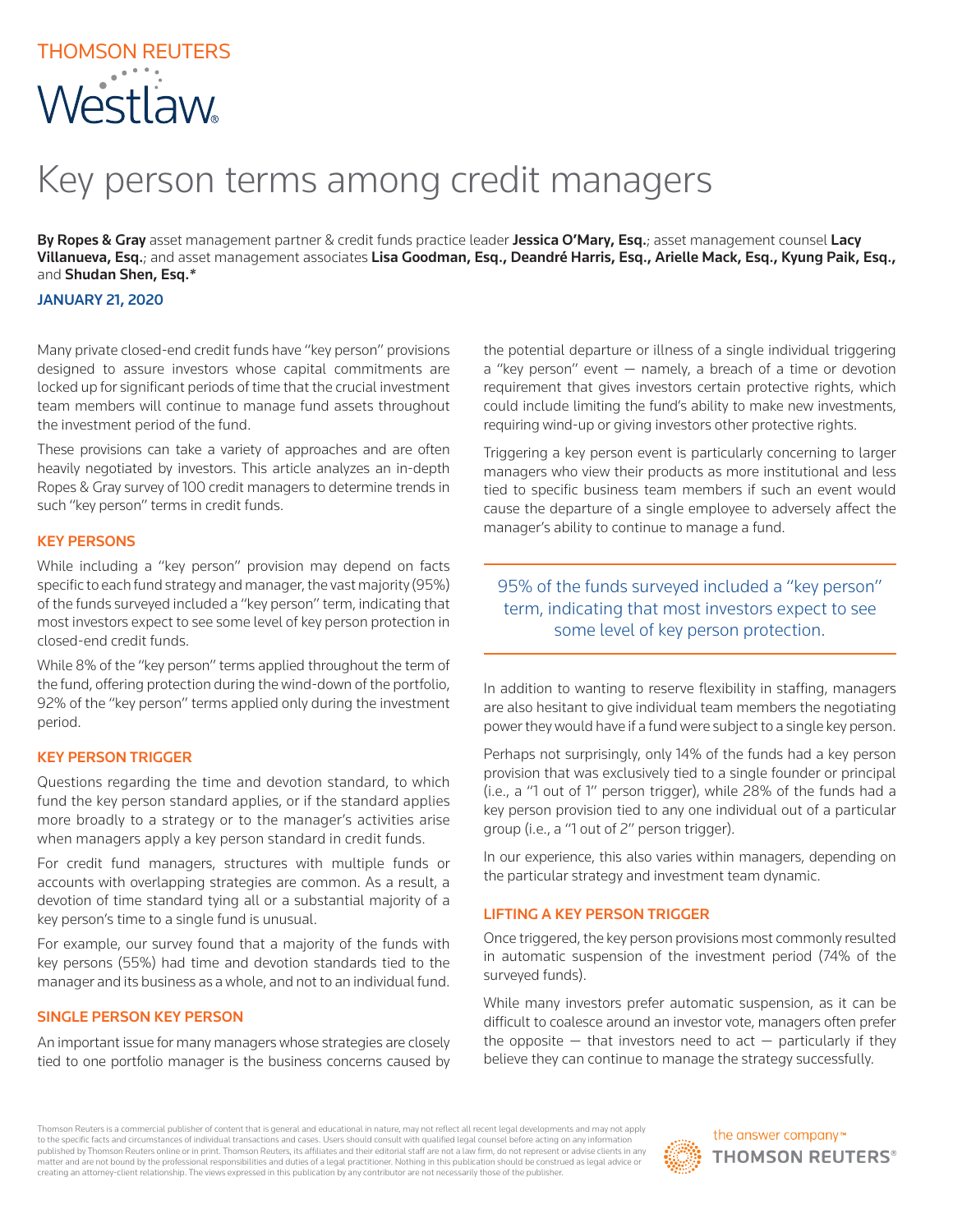# THOMSON REUTERS Westlaw

## Key person terms among credit managers

By Ropes & Gray asset management partner & credit funds practice leader Jessica O'Mary, Esq.; asset management counsel Lacy Villanueva, Esq.; and asset management associates Lisa Goodman, Esq., Deandré Harris, Esq., Arielle Mack, Esq., Kyung Paik, Esq., and Shudan Shen, Esq.*\**

## JANUARY 21, 2020

Many private closed-end credit funds have "key person" provisions designed to assure investors whose capital commitments are locked up for significant periods of time that the crucial investment team members will continue to manage fund assets throughout the investment period of the fund.

These provisions can take a variety of approaches and are often heavily negotiated by investors. This article analyzes an in-depth Ropes & Gray survey of 100 credit managers to determine trends in such "key person" terms in credit funds.

## KEY PERSONS

While including a "key person" provision may depend on facts specific to each fund strategy and manager, the vast majority (95%) of the funds surveyed included a "key person" term, indicating that most investors expect to see some level of key person protection in closed-end credit funds.

While 8% of the "key person" terms applied throughout the term of the fund, offering protection during the wind-down of the portfolio, 92% of the "key person" terms applied only during the investment period.

### KEY PERSON TRIGGER

Questions regarding the time and devotion standard, to which fund the key person standard applies, or if the standard applies more broadly to a strategy or to the manager's activities arise when managers apply a key person standard in credit funds.

For credit fund managers, structures with multiple funds or accounts with overlapping strategies are common. As a result, a devotion of time standard tying all or a substantial majority of a key person's time to a single fund is unusual.

For example, our survey found that a majority of the funds with key persons (55%) had time and devotion standards tied to the manager and its business as a whole, and not to an individual fund.

### SINGLE PERSON KEY PERSON

An important issue for many managers whose strategies are closely tied to one portfolio manager is the business concerns caused by

the potential departure or illness of a single individual triggering a "key person" event — namely, a breach of a time or devotion requirement that gives investors certain protective rights, which could include limiting the fund's ability to make new investments, requiring wind-up or giving investors other protective rights.

Triggering a key person event is particularly concerning to larger managers who view their products as more institutional and less tied to specific business team members if such an event would cause the departure of a single employee to adversely affect the manager's ability to continue to manage a fund.

## 95% of the funds surveyed included a "key person" term, indicating that most investors expect to see some level of key person protection.

In addition to wanting to reserve flexibility in staffing, managers are also hesitant to give individual team members the negotiating power they would have if a fund were subject to a single key person.

Perhaps not surprisingly, only 14% of the funds had a key person provision that was exclusively tied to a single founder or principal (i.e., a "1 out of 1" person trigger), while 28% of the funds had a key person provision tied to any one individual out of a particular group (i.e., a "1 out of 2" person trigger).

In our experience, this also varies within managers, depending on the particular strategy and investment team dynamic.

### LIFTING A KEY PERSON TRIGGER

Once triggered, the key person provisions most commonly resulted in automatic suspension of the investment period (74% of the surveyed funds).

While many investors prefer automatic suspension, as it can be difficult to coalesce around an investor vote, managers often prefer the opposite  $-$  that investors need to act  $-$  particularly if they believe they can continue to manage the strategy successfully.

Thomson Reuters is a commercial publisher of content that is general and educational in nature, may not reflect all recent legal developments and may not apply to the specific facts and circumstances of individual transactions and cases. Users should consult with qualified legal counsel before acting on any information published by Thomson Reuters online or in print. Thomson Reuters, its affiliates and their editorial staff are not a law firm, do not represent or advise clients in any matter and are not bound by the professional responsibilities and duties of a legal practitioner. Nothing in this publication should be construed as legal advice or creating an attorney-client relationship. The views expressed in this publication by any contributor are not necessarily those of the publisher.

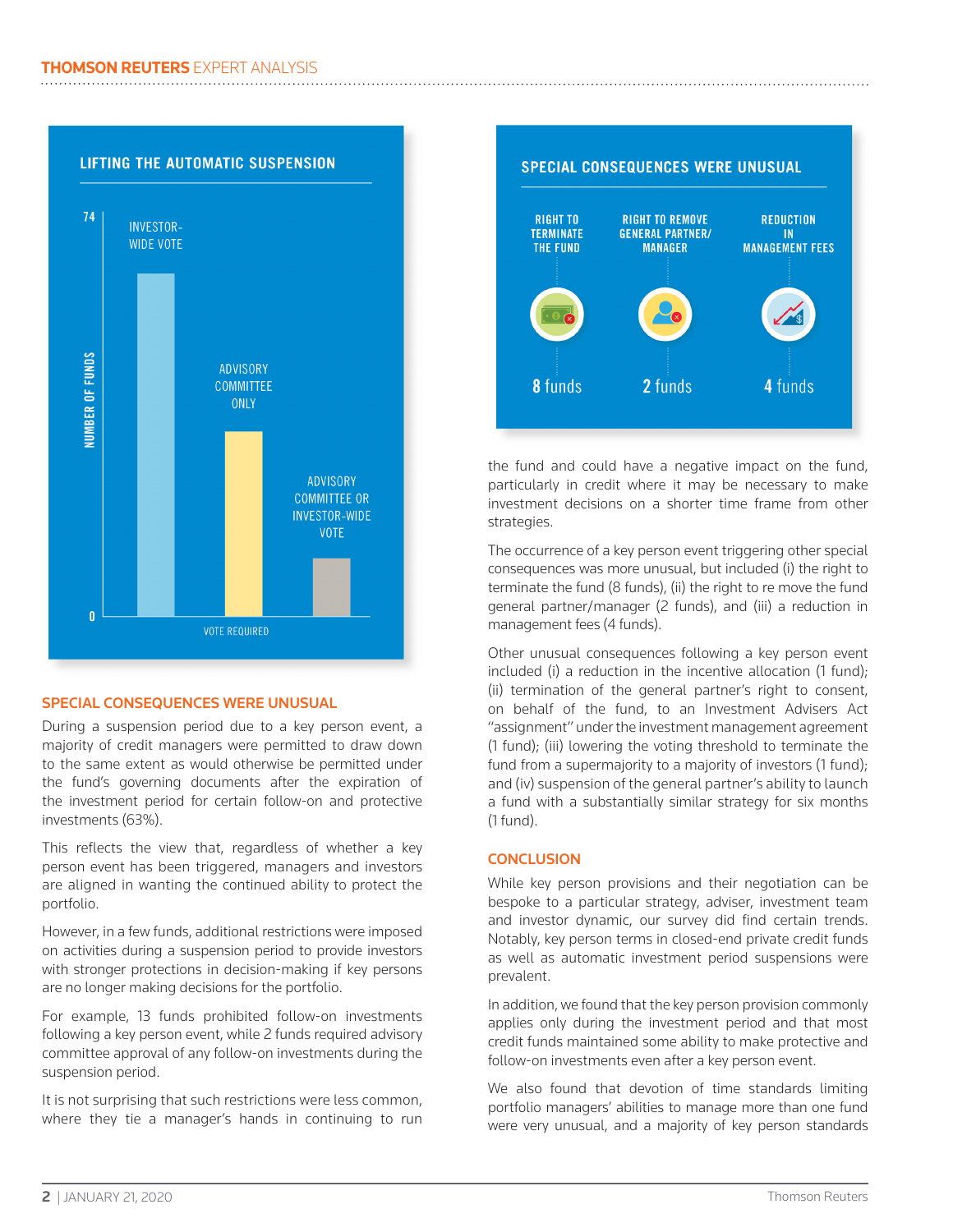

## SPECIAL CONSEQUENCES WERE UNUSUAL

During a suspension period due to a key person event, a majority of credit managers were permitted to draw down to the same extent as would otherwise be permitted under the fund's governing documents after the expiration of the investment period for certain follow-on and protective investments (63%).

This reflects the view that, regardless of whether a key person event has been triggered, managers and investors are aligned in wanting the continued ability to protect the portfolio.

However, in a few funds, additional restrictions were imposed on activities during a suspension period to provide investors with stronger protections in decision-making if key persons are no longer making decisions for the portfolio.

For example, 13 funds prohibited follow-on investments following a key person event, while 2 funds required advisory committee approval of any follow-on investments during the suspension period.

It is not surprising that such restrictions were less common, where they tie a manager's hands in continuing to run



the fund and could have a negative impact on the fund, particularly in credit where it may be necessary to make investment decisions on a shorter time frame from other strategies.

The occurrence of a key person event triggering other special consequences was more unusual, but included (i) the right to terminate the fund (8 funds), (ii) the right to re move the fund general partner/manager (2 funds), and (iii) a reduction in management fees (4 funds).

Other unusual consequences following a key person event included (i) a reduction in the incentive allocation (1 fund); (ii) termination of the general partner's right to consent, on behalf of the fund, to an Investment Advisers Act "assignment" under the investment management agreement (1 fund); (iii) lowering the voting threshold to terminate the fund from a supermajority to a majority of investors (1 fund); and (iv) suspension of the general partner's ability to launch a fund with a substantially similar strategy for six months (1 fund).

## **CONCLUSION**

While key person provisions and their negotiation can be bespoke to a particular strategy, adviser, investment team and investor dynamic, our survey did find certain trends. Notably, key person terms in closed-end private credit funds as well as automatic investment period suspensions were prevalent.

In addition, we found that the key person provision commonly applies only during the investment period and that most credit funds maintained some ability to make protective and follow-on investments even after a key person event.

We also found that devotion of time standards limiting portfolio managers' abilities to manage more than one fund were very unusual, and a majority of key person standards